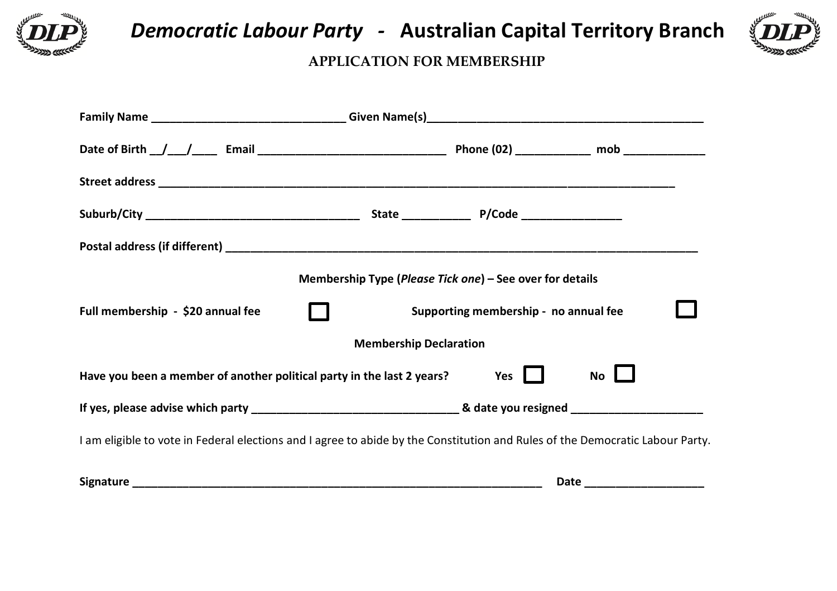

 *Democratic Labour Party -* **Australian Capital Territory Branch** 



## **APPLICATION FOR MEMBERSHIP**

|                                                                                                                               | Membership Type (Please Tick one) – See over for details |                                       |                            |  |
|-------------------------------------------------------------------------------------------------------------------------------|----------------------------------------------------------|---------------------------------------|----------------------------|--|
| Full membership - \$20 annual fee                                                                                             |                                                          | Supporting membership - no annual fee |                            |  |
|                                                                                                                               | <b>Membership Declaration</b>                            |                                       |                            |  |
| Have you been a member of another political party in the last 2 years?<br>Yes $\blacksquare$<br>$No$ $\Box$                   |                                                          |                                       |                            |  |
|                                                                                                                               |                                                          |                                       |                            |  |
| I am eligible to vote in Federal elections and I agree to abide by the Constitution and Rules of the Democratic Labour Party. |                                                          |                                       |                            |  |
|                                                                                                                               |                                                          |                                       | Date _____________________ |  |